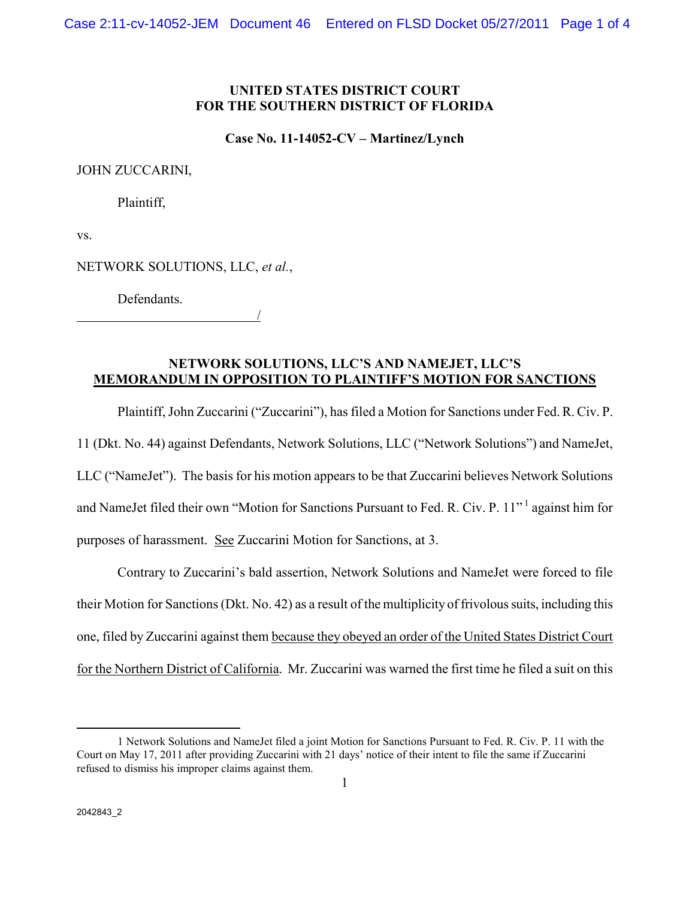### **UNITED STATES DISTRICT COURT FOR THE SOUTHERN DISTRICT OF FLORIDA**

**Case No. 11-14052-CV – Martinez/Lynch** 

#### JOHN ZUCCARINI,

Plaintiff,

vs.

NETWORK SOLUTIONS, LLC, *et al.*,

Defendants.

/

# **NETWORK SOLUTIONS, LLC'S AND NAMEJET, LLC'S MEMORANDUM IN OPPOSITION TO PLAINTIFF'S MOTION FOR SANCTIONS**

 Plaintiff, John Zuccarini ("Zuccarini"), has filed a Motion for Sanctions under Fed. R. Civ. P. 11 (Dkt. No. 44) against Defendants, Network Solutions, LLC ("Network Solutions") and NameJet, LLC ("NameJet"). The basis for his motion appears to be that Zuccarini believes Network Solutions and NameJet filed their own "Motion for Sanctions Pursuant to Fed. R. Civ. P. 11"<sup>1</sup> against him for purposes of harassment. See Zuccarini Motion for Sanctions, at 3.

 Contrary to Zuccarini's bald assertion, Network Solutions and NameJet were forced to file their Motion for Sanctions (Dkt. No. 42) as a result of the multiplicity of frivolous suits, including this one, filed by Zuccarini against them because they obeyed an order of the United States District Court for the Northern District of California. Mr. Zuccarini was warned the first time he filed a suit on this

 $\overline{a}$ 

<sup>1</sup> Network Solutions and NameJet filed a joint Motion for Sanctions Pursuant to Fed. R. Civ. P. 11 with the Court on May 17, 2011 after providing Zuccarini with 21 days' notice of their intent to file the same if Zuccarini refused to dismiss his improper claims against them.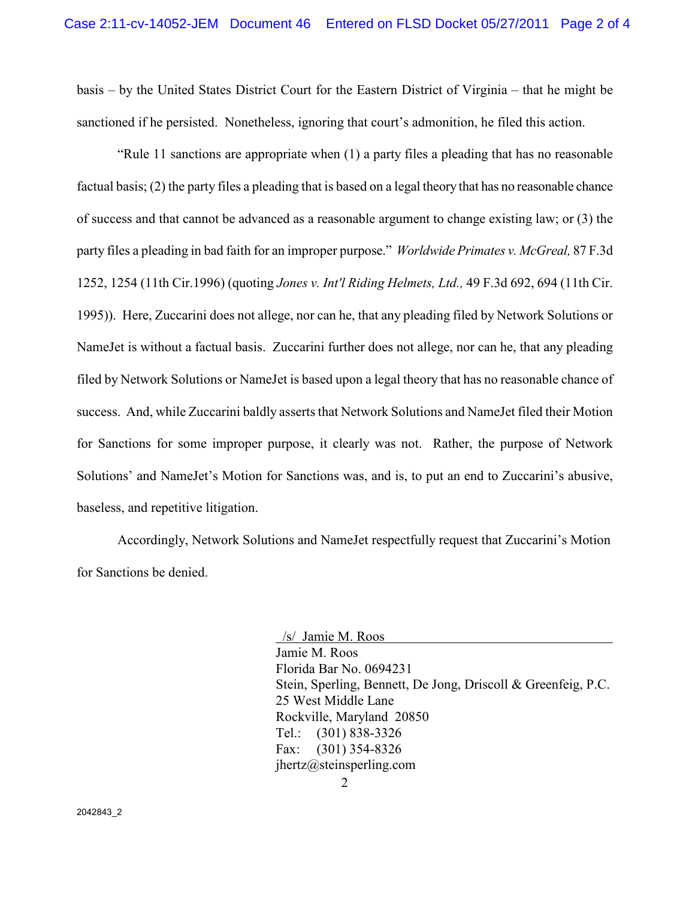basis – by the United States District Court for the Eastern District of Virginia – that he might be sanctioned if he persisted. Nonetheless, ignoring that court's admonition, he filed this action.

"Rule 11 sanctions are appropriate when (1) a party files a pleading that has no reasonable factual basis; (2) the party files a pleading that is based on a legal theory that has no reasonable chance of success and that cannot be advanced as a reasonable argument to change existing law; or (3) the party files a pleading in bad faith for an improper purpose." *Worldwide Primates v. McGreal,* 87 F.3d 1252, 1254 (11th Cir.1996) (quoting *Jones v. Int'l Riding Helmets, Ltd.,* 49 F.3d 692, 694 (11th Cir. 1995)). Here, Zuccarini does not allege, nor can he, that any pleading filed by Network Solutions or NameJet is without a factual basis. Zuccarini further does not allege, nor can he, that any pleading filed by Network Solutions or NameJet is based upon a legal theory that has no reasonable chance of success. And, while Zuccarini baldly asserts that Network Solutions and NameJet filed their Motion for Sanctions for some improper purpose, it clearly was not. Rather, the purpose of Network Solutions' and NameJet's Motion for Sanctions was, and is, to put an end to Zuccarini's abusive, baseless, and repetitive litigation.

 Accordingly, Network Solutions and NameJet respectfully request that Zuccarini's Motion for Sanctions be denied.

> /s/ Jamie M. Roos Jamie M. Roos Florida Bar No. 0694231 Stein, Sperling, Bennett, De Jong, Driscoll & Greenfeig, P.C. 25 West Middle Lane Rockville, Maryland 20850 Tel.: (301) 838-3326 Fax: (301) 354-8326 jhertz@steinsperling.com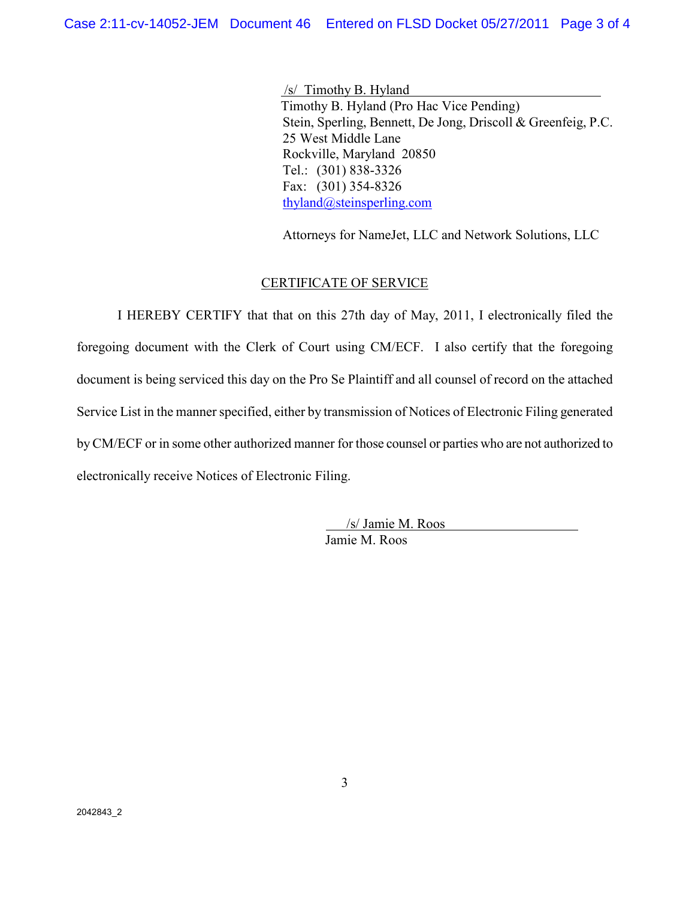/s/ Timothy B. Hyland Timothy B. Hyland (Pro Hac Vice Pending) Stein, Sperling, Bennett, De Jong, Driscoll & Greenfeig, P.C. 25 West Middle Lane Rockville, Maryland 20850 Tel.: (301) 838-3326 Fax: (301) 354-8326 thyland@steinsperling.com

Attorneys for NameJet, LLC and Network Solutions, LLC

### CERTIFICATE OF SERVICE

I HEREBY CERTIFY that that on this 27th day of May, 2011, I electronically filed the foregoing document with the Clerk of Court using CM/ECF. I also certify that the foregoing document is being serviced this day on the Pro Se Plaintiff and all counsel of record on the attached Service List in the manner specified, either by transmission of Notices of Electronic Filing generated by CM/ECF or in some other authorized manner for those counsel or parties who are not authorized to electronically receive Notices of Electronic Filing.

> /s/ Jamie M. Roos Jamie M. Roos